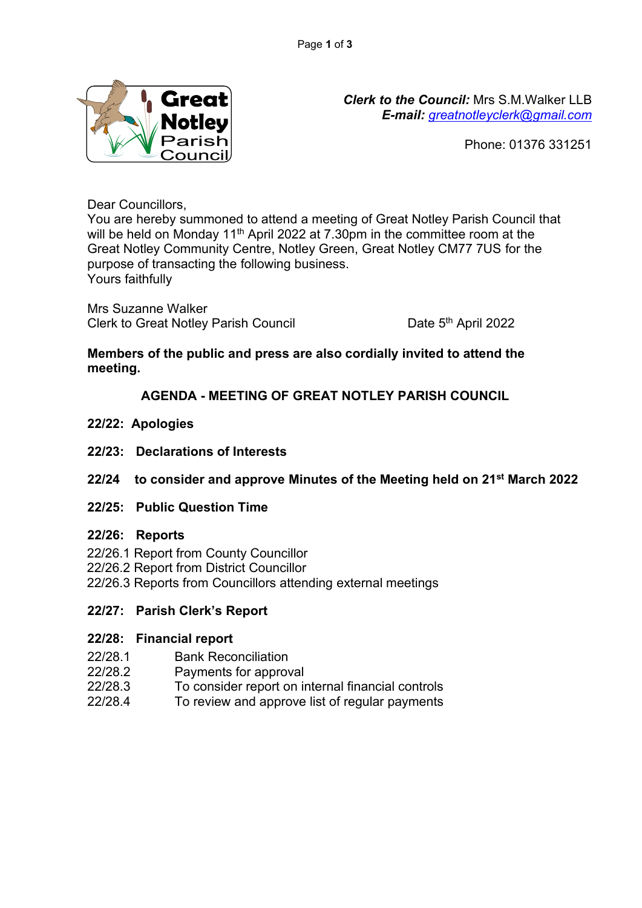

*Clerk to the Council:* Mrs S.M.Walker LLB *E-mail: [greatnotleyclerk@gmail.com](mailto:greatnotleyclerk@gmail.com)*

Phone: 01376 331251

Dear Councillors,

You are hereby summoned to attend a meeting of Great Notley Parish Council that will be held on Monday 11<sup>th</sup> April 2022 at 7.30pm in the committee room at the Great Notley Community Centre, Notley Green, Great Notley CM77 7US for the purpose of transacting the following business. Yours faithfully

Mrs Suzanne Walker Clerk to Great Notley Parish Council

Date 5<sup>th</sup> April 2022

## **Members of the public and press are also cordially invited to attend the meeting.**

# **AGENDA - MEETING OF GREAT NOTLEY PARISH COUNCIL**

- **22/22: Apologies**
- **22/23: Declarations of Interests**
- **22/24 to consider and approve Minutes of the Meeting held on 21st March 2022**
- **22/25: Public Question Time**

### **22/26: Reports**

- 22/26.1 Report from County Councillor
- 22/26.2 Report from District Councillor
- 22/26.3 Reports from Councillors attending external meetings

### **22/27: Parish Clerk's Report**

### **22/28: Financial report**

- 22/28.1 Bank Reconciliation
- 22/28.2 Payments for approval
- 22/28.3 To consider report on internal financial controls
- 22/28.4 To review and approve list of regular payments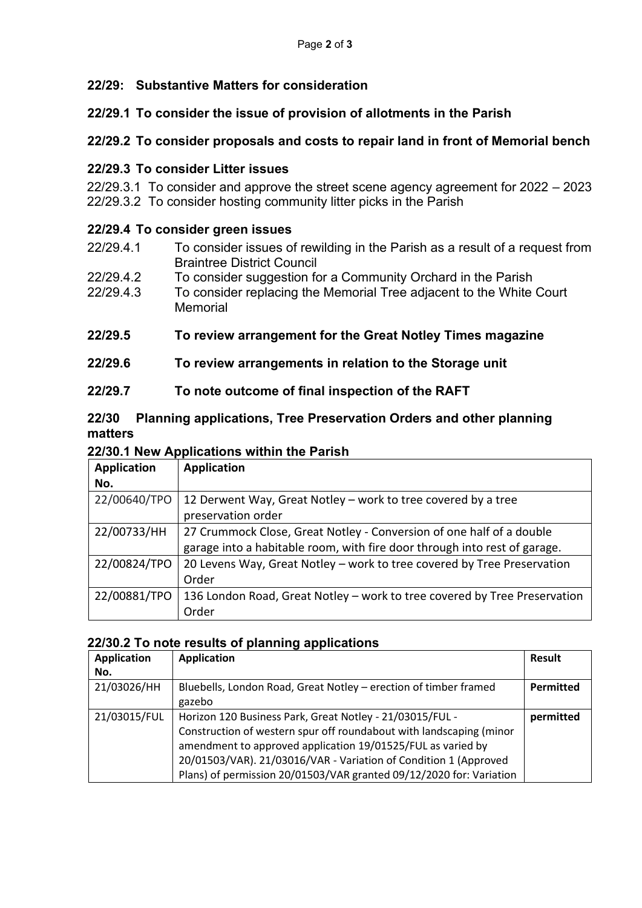## **22/29: Substantive Matters for consideration**

## **22/29.1 To consider the issue of provision of allotments in the Parish**

## **22/29.2 To consider proposals and costs to repair land in front of Memorial bench**

#### **22/29.3 To consider Litter issues**

 22/29.3.1 To consider and approve the street scene agency agreement for 2022 – 2023 22/29.3.2 To consider hosting community litter picks in the Parish

#### **22/29.4 To consider green issues**

- 22/29.4.1 To consider issues of rewilding in the Parish as a result of a request from Braintree District Council
- 22/29.4.2 To consider suggestion for a Community Orchard in the Parish
- 22/29.4.3 To consider replacing the Memorial Tree adjacent to the White Court **Memorial**
- **22/29.5 To review arrangement for the Great Notley Times magazine**

### **22/29.6 To review arrangements in relation to the Storage unit**

### **22/29.7 To note outcome of final inspection of the RAFT**

### **22/30 Planning applications, Tree Preservation Orders and other planning matters**

#### **22/30.1 New Applications within the Parish**

| <b>Application</b> | <b>Application</b>                                                        |
|--------------------|---------------------------------------------------------------------------|
| No.                |                                                                           |
| 22/00640/TPO       | 12 Derwent Way, Great Notley - work to tree covered by a tree             |
|                    | preservation order                                                        |
| 22/00733/HH        | 27 Crummock Close, Great Notley - Conversion of one half of a double      |
|                    | garage into a habitable room, with fire door through into rest of garage. |
| 22/00824/TPO       | 20 Levens Way, Great Notley - work to tree covered by Tree Preservation   |
|                    | Order                                                                     |
| 22/00881/TPO       | 136 London Road, Great Notley - work to tree covered by Tree Preservation |
|                    | Order                                                                     |

#### **22/30.2 To note results of planning applications**

| <b>Application</b> | <b>Application</b>                                                  | Result    |
|--------------------|---------------------------------------------------------------------|-----------|
| No.                |                                                                     |           |
| 21/03026/HH        | Bluebells, London Road, Great Notley – erection of timber framed    | Permitted |
|                    | gazebo                                                              |           |
| 21/03015/FUL       | Horizon 120 Business Park, Great Notley - 21/03015/FUL -            | permitted |
|                    | Construction of western spur off roundabout with landscaping (minor |           |
|                    | amendment to approved application 19/01525/FUL as varied by         |           |
|                    | 20/01503/VAR). 21/03016/VAR - Variation of Condition 1 (Approved    |           |
|                    | Plans) of permission 20/01503/VAR granted 09/12/2020 for: Variation |           |